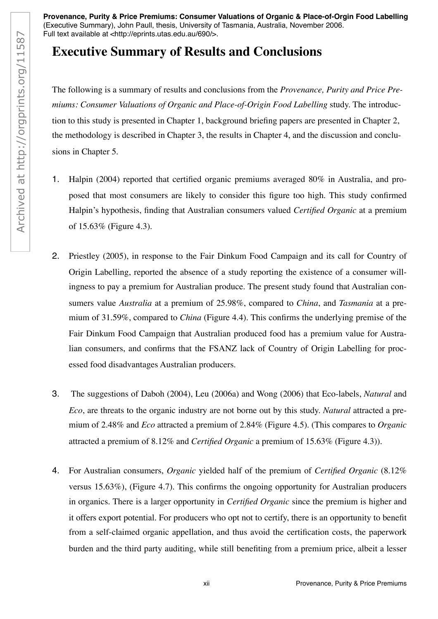**Provenance, Purity & Price Premiums: Consumer Valuations of Organic & Place-of-Orgin Food Labelling** (Executive Summary), John Paull, thesis, University of Tasmania, Australia, November 2006.<br>Full text available at <http://eprints.utas.edu.au/690/>.

## **Executive Summary of Results and Conclusions**

The following is a summary of results and conclusions from the *Provenance, Purity and Price Premiums: Consumer Valuations of Organic and Place-of-Origin Food Labelling* study. The introduction to this study is presented in Chapter 1, background briefing papers are presented in Chapter 2, the methodology is described in Chapter 3, the results in Chapter 4, and the discussion and conclusions in Chapter 5. Full text available at <http://eprints.utas.edu.au/690/>.<br>  $R_{21}$ <br>  $R_{32}$ <br>  $R_{43}$ <br>  $R_{54}$ <br>  $R_{55}$ <br>  $R_{56}$ <br>  $R_{57}$ <br>  $R_{58}$ <br>  $R_{59}$ <br>  $R_{59}$ <br>  $R_{59}$ <br>  $R_{59}$ <br>  $R_{59}$ <br>  $R_{59}$ <br>  $R_{59}$ <br>  $R_{59}$ <br>  $R_{59}$ <br>  $R_{59}$ <br>

- 1. Halpin (2004) reported that certified organic premiums averaged 80% in Australia, and proposed that most consumers are likely to consider this figure too high. This study confirmed Halpin's hypothesis, finding that Australian consumers valued *Certified Organic* at a premium of 15.63% (Figure 4.3).
- 2. Priestley (2005), in response to the Fair Dinkum Food Campaign and its call for Country of Origin Labelling, reported the absence of a study reporting the existence of a consumer willingness to pay a premium for Australian produce. The present study found that Australian consumers value *Australia* at a premium of 25.98%, compared to *China*, and *Tasmania* at a premium of 31.59%, compared to *China* (Figure 4.4). This confirms the underlying premise of the Fair Dinkum Food Campaign that Australian produced food has a premium value for Australian consumers, and confirms that the FSANZ lack of Country of Origin Labelling for processed food disadvantages Australian producers.
- 3. The suggestions of Daboh (2004), Leu (2006a) and Wong (2006) that Eco-labels, *Natural* and *Eco*, are threats to the organic industry are not borne out by this study. *Natural* attracted a premium of 2.48% and *Eco* attracted a premium of 2.84% (Figure 4.5). (This compares to *Organic* attracted a premium of 8.12% and *Certified Organic* a premium of 15.63% (Figure 4.3)).
- 4. For Australian consumers, *Organic* yielded half of the premium of *Certified Organic* (8.12% versus 15.63%), (Figure 4.7). This confirms the ongoing opportunity for Australian producers in organics. There is a larger opportunity in *Certified Organic* since the premium is higher and it offers export potential. For producers who opt not to certify, there is an opportunity to benefit from a self-claimed organic appellation, and thus avoid the certification costs, the paperwork burden and the third party auditing, while still benefiting from a premium price, albeit a lesser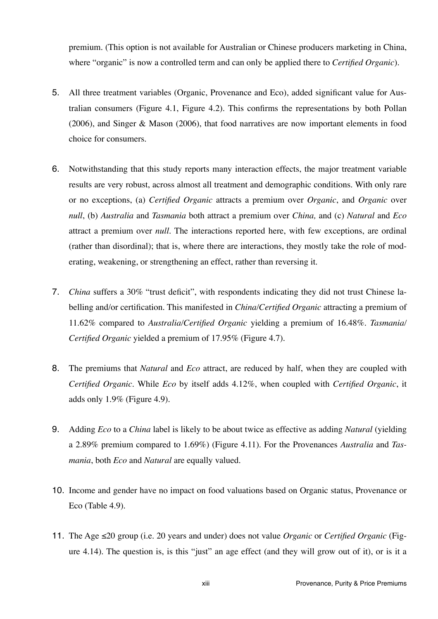premium. (This option is not available for Australian or Chinese producers marketing in China, where "organic" is now a controlled term and can only be applied there to *Certified Organic*).

- 5. All three treatment variables (Organic, Provenance and Eco), added significant value for Australian consumers (Figure 4.1, Figure 4.2). This confirms the representations by both Pollan (2006), and Singer & Mason (2006), that food narratives are now important elements in food choice for consumers.
- 6. Notwithstanding that this study reports many interaction effects, the major treatment variable results are very robust, across almost all treatment and demographic conditions. With only rare or no exceptions, (a) *Certified Organic* attracts a premium over *Organic*, and *Organic* over *null*, (b) *Australia* and *Tasmania* both attract a premium over *China,* and (c) *Natural* and *Eco* attract a premium over *null*. The interactions reported here, with few exceptions, are ordinal (rather than disordinal); that is, where there are interactions, they mostly take the role of moderating, weakening, or strengthening an effect, rather than reversing it.
- 7. *China* suffers a 30% "trust deficit", with respondents indicating they did not trust Chinese labelling and/or certification. This manifested in *China/Certified Organic* attracting a premium of 11.62% compared to *Australia/Certified Organic* yielding a premium of 16.48%. *Tasmania/ Certified Organic* yielded a premium of 17.95% (Figure 4.7).
- 8. The premiums that *Natural* and *Eco* attract, are reduced by half, when they are coupled with *Certified Organic*. While *Eco* by itself adds 4.12%, when coupled with *Certified Organic*, it adds only 1.9% (Figure 4.9).
- 9. Adding *Eco* to a *China* label is likely to be about twice as effective as adding *Natural* (yielding a 2.89% premium compared to 1.69%) (Figure 4.11). For the Provenances *Australia* and *Tasmania*, both *Eco* and *Natural* are equally valued.
- 10. Income and gender have no impact on food valuations based on Organic status, Provenance or Eco (Table 4.9).
- 11. The Age  $\leq 20$  group (i.e. 20 years and under) does not value *Organic* or *Certified Organic* (Figure 4.14). The question is, is this "just" an age effect (and they will grow out of it), or is it a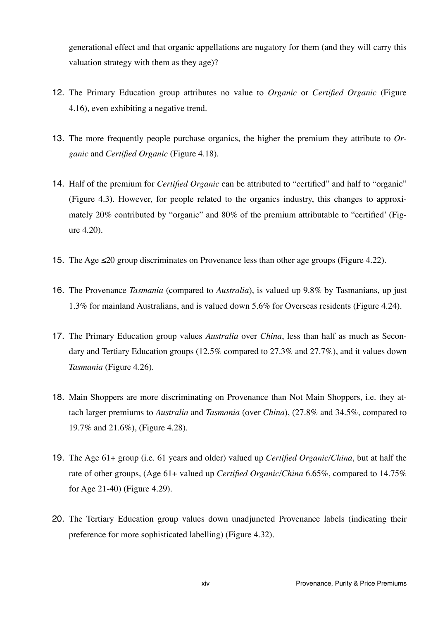generational effect and that organic appellations are nugatory for them (and they will carry this valuation strategy with them as they age)?

- 12. The Primary Education group attributes no value to *Organic* or *Certified Organic* (Figure 4.16), even exhibiting a negative trend.
- 13. The more frequently people purchase organics, the higher the premium they attribute to *Organic* and *Certified Organic* (Figure 4.18).
- 14. Half of the premium for *Certified Organic* can be attributed to "certified" and half to "organic" (Figure 4.3). However, for people related to the organics industry, this changes to approximately 20% contributed by "organic" and 80% of the premium attributable to "certified' (Figure 4.20).
- 15. The Age  $\leq 20$  group discriminates on Provenance less than other age groups (Figure 4.22).
- 16. The Provenance *Tasmania* (compared to *Australia*), is valued up 9.8% by Tasmanians, up just 1.3% for mainland Australians, and is valued down 5.6% for Overseas residents (Figure 4.24).
- 17. The Primary Education group values *Australia* over *China*, less than half as much as Secondary and Tertiary Education groups (12.5% compared to 27.3% and 27.7%), and it values down *Tasmania* (Figure 4.26).
- 18. Main Shoppers are more discriminating on Provenance than Not Main Shoppers, i.e. they attach larger premiums to *Australia* and *Tasmania* (over *China*), (27.8% and 34.5%, compared to 19.7% and 21.6%), (Figure 4.28).
- 19. The Age 61+ group (i.e. 61 years and older) valued up *Certified Organic/China*, but at half the rate of other groups, (Age 61+ valued up *Certified Organic/China* 6.65%, compared to 14.75% for Age 21-40) (Figure 4.29).
- 20. The Tertiary Education group values down unadjuncted Provenance labels (indicating their preference for more sophisticated labelling) (Figure 4.32).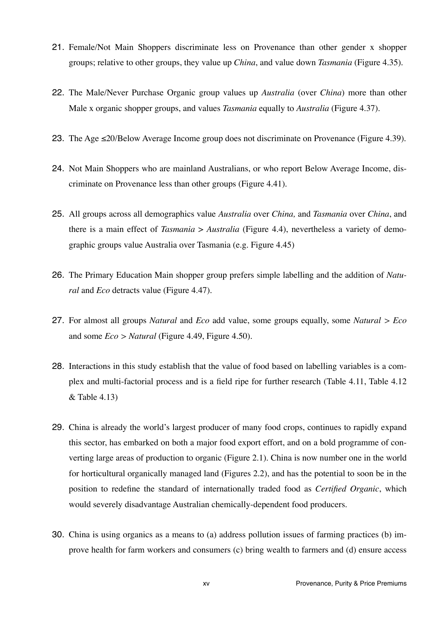- 21. Female/Not Main Shoppers discriminate less on Provenance than other gender x shopper groups; relative to other groups, they value up *China*, and value down *Tasmania* (Figure 4.35).
- 22. The Male/Never Purchase Organic group values up *Australia* (over *China*) more than other Male x organic shopper groups, and values *Tasmania* equally to *Australia* (Figure 4.37).
- 23. The Age  $\leq$ 20/Below Average Income group does not discriminate on Provenance (Figure 4.39).
- 24. Not Main Shoppers who are mainland Australians, or who report Below Average Income, discriminate on Provenance less than other groups (Figure 4.41).
- 25. All groups across all demographics value *Australia* over *China,* and *Tasmania* over *China*, and there is a main effect of *Tasmania* > *Australia* (Figure 4.4), nevertheless a variety of demographic groups value Australia over Tasmania (e.g. Figure 4.45)
- 26. The Primary Education Main shopper group prefers simple labelling and the addition of *Natural* and *Eco* detracts value (Figure 4.47).
- 27. For almost all groups *Natural* and *Eco* add value, some groups equally, some *Natural > Eco* and some *Eco > Natural* (Figure 4.49, Figure 4.50).
- 28. Interactions in this study establish that the value of food based on labelling variables is a complex and multi-factorial process and is a field ripe for further research (Table 4.11, Table 4.12 & Table 4.13)
- 29. China is already the world's largest producer of many food crops, continues to rapidly expand this sector, has embarked on both a major food export effort, and on a bold programme of converting large areas of production to organic (Figure 2.1). China is now number one in the world for horticultural organically managed land (Figures 2.2), and has the potential to soon be in the position to redefine the standard of internationally traded food as *Certified Organic*, which would severely disadvantage Australian chemically-dependent food producers.
- 30. China is using organics as a means to (a) address pollution issues of farming practices (b) improve health for farm workers and consumers (c) bring wealth to farmers and (d) ensure access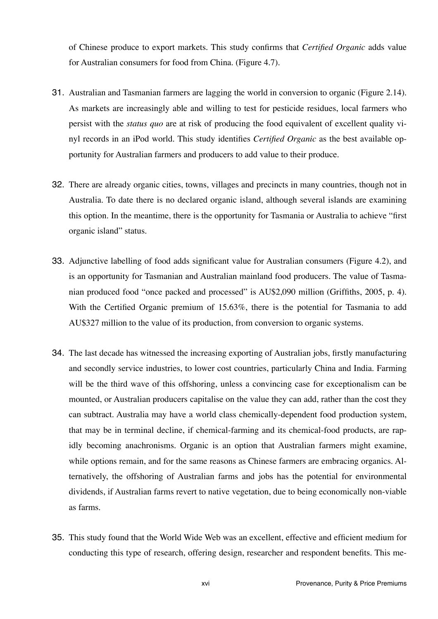of Chinese produce to export markets. This study confirms that *Certified Organic* adds value for Australian consumers for food from China. (Figure 4.7).

- 31. Australian and Tasmanian farmers are lagging the world in conversion to organic (Figure 2.14). As markets are increasingly able and willing to test for pesticide residues, local farmers who persist with the *status quo* are at risk of producing the food equivalent of excellent quality vinyl records in an iPod world. This study identifies *Certified Organic* as the best available opportunity for Australian farmers and producers to add value to their produce.
- 32. There are already organic cities, towns, villages and precincts in many countries, though not in Australia. To date there is no declared organic island, although several islands are examining this option. In the meantime, there is the opportunity for Tasmania or Australia to achieve "first organic island" status.
- 33. Adjunctive labelling of food adds significant value for Australian consumers (Figure 4.2), and is an opportunity for Tasmanian and Australian mainland food producers. The value of Tasmanian produced food "once packed and processed" is AU\$2,090 million (Griffiths, 2005, p. 4). With the Certified Organic premium of 15.63%, there is the potential for Tasmania to add AU\$327 million to the value of its production, from conversion to organic systems.
- 34. The last decade has witnessed the increasing exporting of Australian jobs, firstly manufacturing and secondly service industries, to lower cost countries, particularly China and India. Farming will be the third wave of this offshoring, unless a convincing case for exceptionalism can be mounted, or Australian producers capitalise on the value they can add, rather than the cost they can subtract. Australia may have a world class chemically-dependent food production system, that may be in terminal decline, if chemical-farming and its chemical-food products, are rapidly becoming anachronisms. Organic is an option that Australian farmers might examine, while options remain, and for the same reasons as Chinese farmers are embracing organics. Alternatively, the offshoring of Australian farms and jobs has the potential for environmental dividends, if Australian farms revert to native vegetation, due to being economically non-viable as farms.
- 35. This study found that the World Wide Web was an excellent, effective and efficient medium for conducting this type of research, offering design, researcher and respondent benefits. This me-